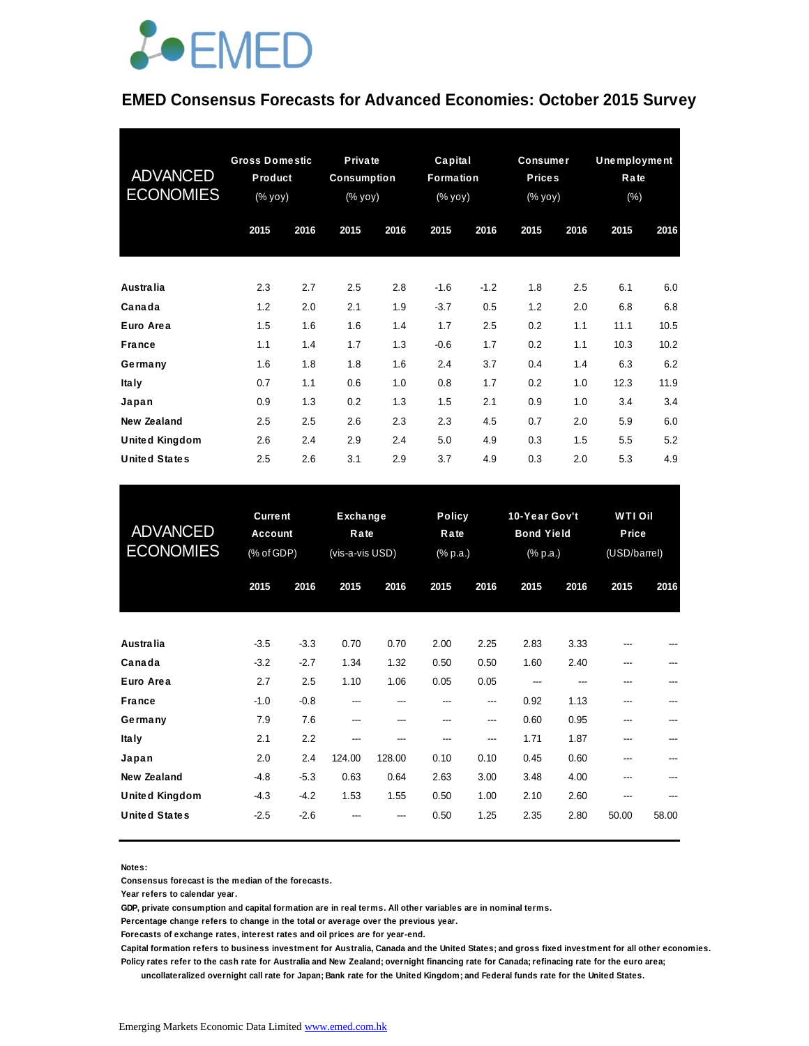

#### **EMED Consensus Forecasts for Advanced Economies: October 2015 Survey**

| <b>ADVANCED</b><br><b>ECONOMIES</b> | <b>Gross Domestic</b><br>Product<br>(% yoy) |      |      |      |        | Private<br><b>Consumption</b><br>(% yoy) |      | Capital<br><b>Formation</b><br>$(% \mathsf{Y}^{\prime }\mathsf{Y}^{\prime }\mathsf{Y}^{\prime })$ |      | <b>Consumer</b><br><b>Prices</b><br>(% yoy) | <b>Unemployment</b><br>Rate<br>(% ) |  |
|-------------------------------------|---------------------------------------------|------|------|------|--------|------------------------------------------|------|---------------------------------------------------------------------------------------------------|------|---------------------------------------------|-------------------------------------|--|
|                                     | 2015                                        | 2016 | 2015 | 2016 | 2015   | 2016                                     | 2015 | 2016                                                                                              | 2015 | 2016                                        |                                     |  |
|                                     |                                             |      |      |      |        |                                          |      |                                                                                                   |      |                                             |                                     |  |
| Australia                           | 2.3                                         | 2.7  | 2.5  | 2.8  | $-1.6$ | $-1.2$                                   | 1.8  | 2.5                                                                                               | 6.1  | 6.0                                         |                                     |  |
| Canada                              | 1.2                                         | 2.0  | 2.1  | 1.9  | $-3.7$ | 0.5                                      | 1.2  | 2.0                                                                                               | 6.8  | 6.8                                         |                                     |  |
| Euro Area                           | 1.5                                         | 1.6  | 1.6  | 1.4  | 1.7    | 2.5                                      | 0.2  | 1.1                                                                                               | 11.1 | 10.5                                        |                                     |  |
| <b>France</b>                       | 1.1                                         | 1.4  | 1.7  | 1.3  | $-0.6$ | 1.7                                      | 0.2  | 1.1                                                                                               | 10.3 | 10.2                                        |                                     |  |
| Germany                             | 1.6                                         | 1.8  | 1.8  | 1.6  | 2.4    | 3.7                                      | 0.4  | 1.4                                                                                               | 6.3  | 6.2                                         |                                     |  |
| <b>Italy</b>                        | 0.7                                         | 1.1  | 0.6  | 1.0  | 0.8    | 1.7                                      | 0.2  | 1.0                                                                                               | 12.3 | 11.9                                        |                                     |  |
| Japan                               | 0.9                                         | 1.3  | 0.2  | 1.3  | 1.5    | 2.1                                      | 0.9  | 1.0                                                                                               | 3.4  | 3.4                                         |                                     |  |
| <b>New Zealand</b>                  | 2.5                                         | 2.5  | 2.6  | 2.3  | 2.3    | 4.5                                      | 0.7  | 2.0                                                                                               | 5.9  | 6.0                                         |                                     |  |
| <b>United Kingdom</b>               | 2.6                                         | 2.4  | 2.9  | 2.4  | 5.0    | 4.9                                      | 0.3  | 1.5                                                                                               | 5.5  | 5.2                                         |                                     |  |
| <b>United States</b>                | 2.5                                         | 2.6  | 3.1  | 2.9  | 3.7    | 4.9                                      | 0.3  | 2.0                                                                                               | 5.3  | 4.9                                         |                                     |  |

| <b>United States</b>                | 2.5                                     | 2.6           | 3.1                                 | 2.9          | 3.7                               | 4.9          | 0.3                                            | 2.0          | 5.3                                     | 4.9   |
|-------------------------------------|-----------------------------------------|---------------|-------------------------------------|--------------|-----------------------------------|--------------|------------------------------------------------|--------------|-----------------------------------------|-------|
| <b>ADVANCED</b><br><b>ECONOMIES</b> | <b>Current</b><br>Account<br>(% of GDP) |               | Exchange<br>Rate<br>(vis-a-vis USD) |              | <b>Policy</b><br>Rate<br>(% p.a.) |              | 10-Year Gov't<br><b>Bond Yield</b><br>(% p.a.) |              | <b>WTI Oil</b><br>Price<br>(USD/barrel) |       |
|                                     | 2015                                    | 2016          | 2015                                | 2016         | 2015                              | 2016         | 2015                                           | 2016         | 2015                                    | 2016  |
| Australia                           | $-3.5$                                  | $-3.3$        | 0.70                                | 0.70         | 2.00                              | 2.25         | 2.83                                           | 3.33         |                                         |       |
| Canada<br>Euro Area                 | $-3.2$<br>2.7                           | $-2.7$<br>2.5 | 1.34<br>1.10                        | 1.32<br>1.06 | 0.50<br>0.05                      | 0.50<br>0.05 | 1.60<br>---                                    | 2.40         | ---<br>---                              |       |
| <b>France</b>                       | $-1.0$                                  | $-0.8$        | ---                                 | ---          |                                   | ---          | 0.92                                           | 1.13         | ---                                     |       |
| Germany<br><b>Italy</b>             | 7.9<br>2.1                              | 7.6<br>2.2    | ---<br>---                          | ---          |                                   | ---<br>---   | 0.60<br>1.71                                   | 0.95<br>1.87 | ---<br>---                              |       |
| Japan                               | 2.0                                     | 2.4           | 124.00                              | 128.00       | 0.10                              | 0.10         | 0.45                                           | 0.60         | ---                                     |       |
| <b>New Zealand</b>                  | $-4.8$                                  | $-5.3$        | 0.63                                | 0.64         | 2.63                              | 3.00         | 3.48                                           | 4.00         |                                         |       |
| <b>United Kingdom</b>               | $-4.3$                                  | $-4.2$        | 1.53                                | 1.55         | 0.50                              | 1.00         | 2.10                                           | 2.60         | ---                                     |       |
| <b>United States</b>                | $-2.5$                                  | $-2.6$        |                                     | ---          | 0.50                              | 1.25         | 2.35                                           | 2.80         | 50.00                                   | 58.00 |

#### **Notes:**

**Consensus forecast is the median of the forecasts.**

**Year refers to calendar year.**

**GDP, private consumption and capital formation are in real terms. All other variables are in nominal terms.**

**Percentage change refers to change in the total or average over the previous year.**

**Forecasts of exchange rates, interest rates and oil prices are for year-end.**

**Capital formation refers to business investment for Australia, Canada and the United States; and gross fixed investment for all other economies. Policy rates refer to the cash rate for Australia and New Zealand; overnight financing rate for Canada; refinacing rate for the euro area;** 

 **uncollateralized overnight call rate for Japan; Bank rate for the United Kingdom; and Federal funds rate for the United States.**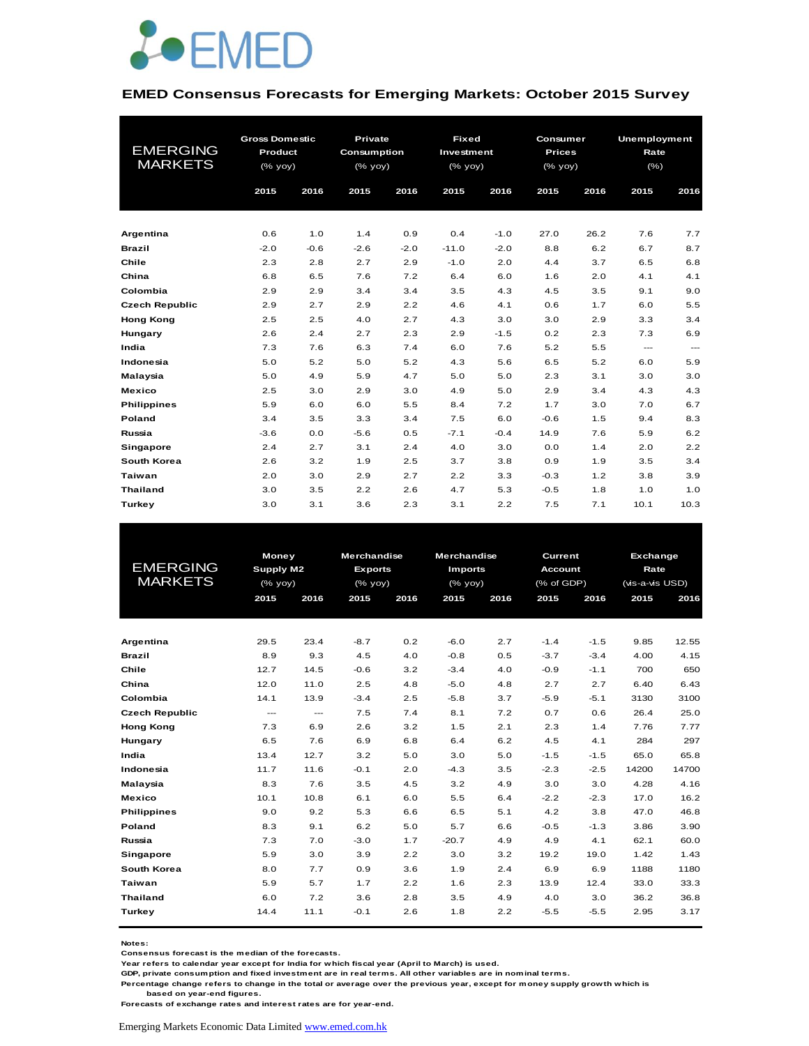

#### **EMED Consensus Forecasts for Emerging Markets: October 2015 Survey**

|                       | <b>Gross Domestic</b> |        | <b>Private</b> | <b>Fixed</b> |            |        | Consumer      |      | Unemployment |                        |
|-----------------------|-----------------------|--------|----------------|--------------|------------|--------|---------------|------|--------------|------------------------|
| <b>EMERGING</b>       | Product               |        | Consumption    |              | Investment |        | <b>Prices</b> |      | Rate         |                        |
| <b>MARKETS</b>        | (% yoy)               |        | (% yoy)        |              | (% yoy)    |        | $(%$ (% yoy)  |      | $(\% )$      |                        |
|                       | 2015                  | 2016   | 2015           | 2016         | 2015       | 2016   | 2015          | 2016 | 2015         | 2016                   |
|                       |                       |        |                |              |            |        |               |      |              |                        |
|                       |                       |        |                |              |            |        |               |      |              |                        |
| Argentina             | 0.6                   | 1.0    | 1.4            | 0.9          | 0.4        | $-1.0$ | 27.0          | 26.2 | 7.6          | 7.7                    |
| <b>Brazil</b>         | $-2.0$                | $-0.6$ | $-2.6$         | $-2.0$       | $-11.0$    | $-2.0$ | 8.8           | 6.2  | 6.7          | 8.7                    |
| Chile                 | 2.3                   | 2.8    | 2.7            | 2.9          | $-1.0$     | 2.0    | 4.4           | 3.7  | 6.5          | 6.8                    |
| China                 | 6.8                   | 6.5    | 7.6            | 7.2          | 6.4        | 6.0    | 1.6           | 2.0  | 4.1          | 4.1                    |
| Colombia              | 2.9                   | 2.9    | 3.4            | 3.4          | 3.5        | 4.3    | 4.5           | 3.5  | 9.1          | 9.0                    |
| <b>Czech Republic</b> | 2.9                   | 2.7    | 2.9            | 2.2          | 4.6        | 4.1    | 0.6           | 1.7  | 6.0          | 5.5                    |
| <b>Hong Kong</b>      | 2.5                   | 2.5    | 4.0            | 2.7          | 4.3        | 3.0    | 3.0           | 2.9  | 3.3          | 3.4                    |
| Hungary               | 2.6                   | 2.4    | 2.7            | 2.3          | 2.9        | $-1.5$ | 0.2           | 2.3  | 7.3          | 6.9                    |
| India                 | 7.3                   | 7.6    | 6.3            | 7.4          | 6.0        | 7.6    | 5.2           | 5.5  | $\cdots$     | $\qquad \qquad \cdots$ |
| Indonesia             | 5.0                   | 5.2    | 5.0            | 5.2          | 4.3        | 5.6    | 6.5           | 5.2  | 6.0          | 5.9                    |
| Malaysia              | 5.0                   | 4.9    | 5.9            | 4.7          | 5.0        | 5.0    | 2.3           | 3.1  | 3.0          | 3.0                    |
| Mexico                | 2.5                   | 3.0    | 2.9            | 3.0          | 4.9        | 5.0    | 2.9           | 3.4  | 4.3          | 4.3                    |
| <b>Philippines</b>    | 5.9                   | 6.0    | 6.0            | 5.5          | 8.4        | 7.2    | 1.7           | 3.0  | 7.0          | 6.7                    |
| Poland                | 3.4                   | 3.5    | 3.3            | 3.4          | 7.5        | 6.0    | $-0.6$        | 1.5  | 9.4          | 8.3                    |
| Russia                | $-3.6$                | 0.0    | $-5.6$         | 0.5          | $-7.1$     | $-0.4$ | 14.9          | 7.6  | 5.9          | 6.2                    |
| Singapore             | 2.4                   | 2.7    | 3.1            | 2.4          | 4.0        | 3.0    | 0.0           | 1.4  | 2.0          | 2.2                    |
| South Korea           | 2.6                   | 3.2    | 1.9            | 2.5          | 3.7        | 3.8    | 0.9           | 1.9  | 3.5          | 3.4                    |
| Taiwan                | 2.0                   | 3.0    | 2.9            | 2.7          | 2.2        | 3.3    | $-0.3$        | 1.2  | 3.8          | 3.9                    |
| <b>Thailand</b>       | 3.0                   | 3.5    | 2.2            | 2.6          | 4.7        | 5.3    | $-0.5$        | 1.8  | 1.0          | 1.0                    |
| Turkey                | 3.0                   | 3.1    | 3.6            | 2.3          | 3.1        | 2.2    | 7.5           | 7.1  | 10.1         | 10.3                   |

| <b>EMERGING</b><br><b>MARKETS</b> |                        | Money<br>Supply M2<br>$(%$ (% yoy) |        | <b>Merchandise</b><br><b>Exports</b><br>$(%$ (% yoy) | <b>Merchandise</b><br><b>Imports</b><br>$(%$ (% yoy) |      | <b>Current</b><br><b>Account</b><br>(% of GDP) |        | Exchange<br>Rate<br>(vis-a-vis USD) |       |  |
|-----------------------------------|------------------------|------------------------------------|--------|------------------------------------------------------|------------------------------------------------------|------|------------------------------------------------|--------|-------------------------------------|-------|--|
|                                   | 2015                   | 2016                               | 2015   | 2016                                                 | 2015                                                 | 2016 | 2015                                           | 2016   | 2015                                | 2016  |  |
|                                   |                        |                                    |        |                                                      |                                                      |      |                                                |        |                                     |       |  |
| Argentina                         | 29.5                   | 23.4                               | $-8.7$ | 0.2                                                  | $-6.0$                                               | 2.7  | $-1.4$                                         | $-1.5$ | 9.85                                | 12.55 |  |
| <b>Brazil</b>                     | 8.9                    | 9.3                                | 4.5    | 4.0                                                  | $-0.8$                                               | 0.5  | $-3.7$                                         | $-3.4$ | 4.00                                | 4.15  |  |
| Chile                             | 12.7                   | 14.5                               | $-0.6$ | 3.2                                                  | $-3.4$                                               | 4.0  | $-0.9$                                         | $-1.1$ | 700                                 | 650   |  |
| China                             | 12.0                   | 11.0                               | 2.5    | 4.8                                                  | $-5.0$                                               | 4.8  | 2.7                                            | 2.7    | 6.40                                | 6.43  |  |
| Colombia                          | 14.1                   | 13.9                               | $-3.4$ | 2.5                                                  | $-5.8$                                               | 3.7  | $-5.9$                                         | $-5.1$ | 3130                                | 3100  |  |
| <b>Czech Republic</b>             | $\qquad \qquad \cdots$ | ---                                | 7.5    | 7.4                                                  | 8.1                                                  | 7.2  | 0.7                                            | 0.6    | 26.4                                | 25.0  |  |
| <b>Hong Kong</b>                  | 7.3                    | 6.9                                | 2.6    | 3.2                                                  | 1.5                                                  | 2.1  | 2.3                                            | 1.4    | 7.76                                | 7.77  |  |
| Hungary                           | 6.5                    | 7.6                                | 6.9    | 6.8                                                  | 6.4                                                  | 6.2  | 4.5                                            | 4.1    | 284                                 | 297   |  |
| India                             | 13.4                   | 12.7                               | 3.2    | 5.0                                                  | 3.0                                                  | 5.0  | $-1.5$                                         | $-1.5$ | 65.0                                | 65.8  |  |
| Indonesia                         | 11.7                   | 11.6                               | $-0.1$ | 2.0                                                  | $-4.3$                                               | 3.5  | $-2.3$                                         | $-2.5$ | 14200                               | 14700 |  |
| Malaysia                          | 8.3                    | 7.6                                | 3.5    | 4.5                                                  | 3.2                                                  | 4.9  | 3.0                                            | 3.0    | 4.28                                | 4.16  |  |
| Mexico                            | 10.1                   | 10.8                               | 6.1    | 6.0                                                  | 5.5                                                  | 6.4  | $-2.2$                                         | $-2.3$ | 17.0                                | 16.2  |  |
| <b>Philippines</b>                | 9.0                    | 9.2                                | 5.3    | 6.6                                                  | 6.5                                                  | 5.1  | 4.2                                            | 3.8    | 47.0                                | 46.8  |  |
| Poland                            | 8.3                    | 9.1                                | 6.2    | 5.0                                                  | 5.7                                                  | 6.6  | $-0.5$                                         | $-1.3$ | 3.86                                | 3.90  |  |
| Russia                            | 7.3                    | 7.0                                | $-3.0$ | 1.7                                                  | $-20.7$                                              | 4.9  | 4.9                                            | 4.1    | 62.1                                | 60.0  |  |
| Singapore                         | 5.9                    | 3.0                                | 3.9    | 2.2                                                  | 3.0                                                  | 3.2  | 19.2                                           | 19.0   | 1.42                                | 1.43  |  |
| South Korea                       | 8.0                    | 7.7                                | 0.9    | 3.6                                                  | 1.9                                                  | 2.4  | 6.9                                            | 6.9    | 1188                                | 1180  |  |
| Taiwan                            | 5.9                    | 5.7                                | 1.7    | 2.2                                                  | 1.6                                                  | 2.3  | 13.9                                           | 12.4   | 33.0                                | 33.3  |  |
| <b>Thailand</b>                   | 6.0                    | 7.2                                | 3.6    | 2.8                                                  | 3.5                                                  | 4.9  | 4.0                                            | 3.0    | 36.2                                | 36.8  |  |
| Turkey                            | 14.4                   | 11.1                               | $-0.1$ | 2.6                                                  | 1.8                                                  | 2.2  | $-5.5$                                         | $-5.5$ | 2.95                                | 3.17  |  |
|                                   |                        |                                    |        |                                                      |                                                      |      |                                                |        |                                     |       |  |

**Notes:** 

**Consensus forecast is the median of the forecasts.**

**Year refers to calendar year except for India for which fiscal year (April to March) is used.**

**GDP, private consumption and fixed investment are in real terms. All other variables are in nominal terms.**

**Percentage change refers to change in the total or average over the previous year, except for money supply growth which is based on year-end figures.**

**Forecasts of exchange rates and interest rates are for year-end.**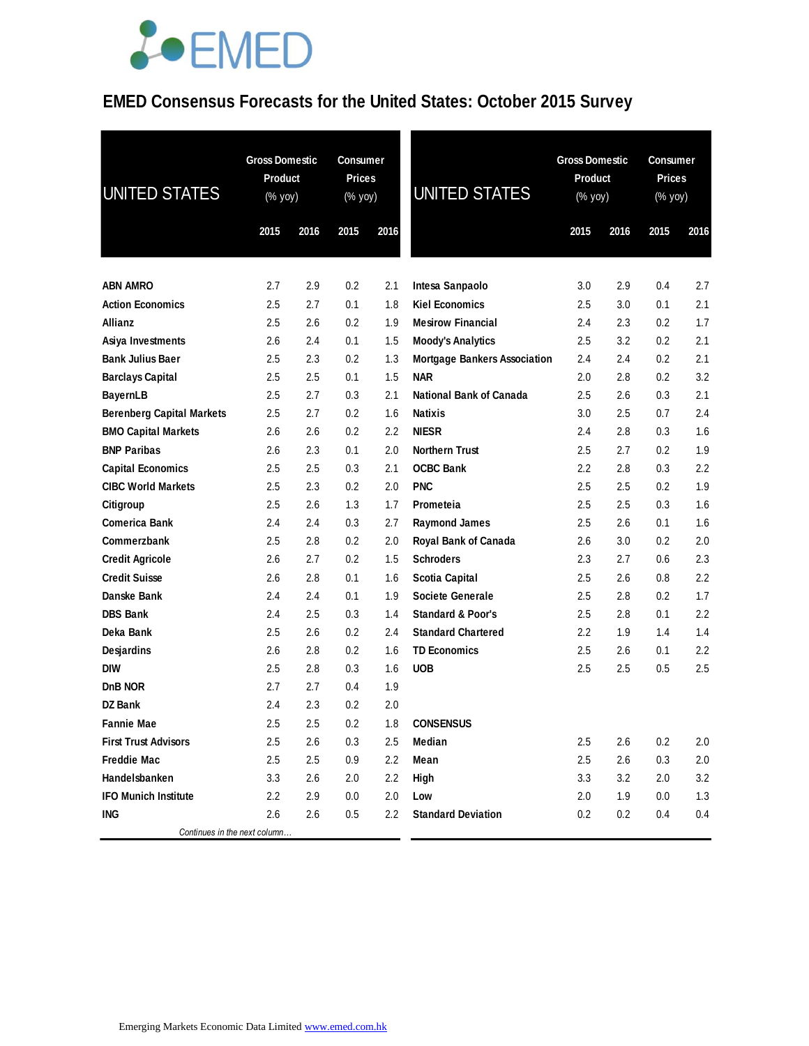### **EMED Consensus Forecasts for the United States: October 2015 Survey**

| <b>UNITED STATES</b>                         | <b>Gross Domestic</b><br>Product<br>(% yoy) |            | <b>Consumer</b><br><b>Prices</b><br>(% yoy) |            | <b>UNITED STATES</b>                              | <b>Gross Domestic</b><br>Product<br>(% yoy) |            | Consumer<br><b>Prices</b><br>(% yoy) |            |
|----------------------------------------------|---------------------------------------------|------------|---------------------------------------------|------------|---------------------------------------------------|---------------------------------------------|------------|--------------------------------------|------------|
|                                              | 2015                                        | 2016       | 2015                                        | 2016       |                                                   | 2015                                        | 2016       | 2015                                 | 2016       |
|                                              |                                             |            |                                             |            |                                                   |                                             |            |                                      |            |
| <b>ABN AMRO</b><br><b>Action Economics</b>   | 2.7                                         | 2.9<br>2.7 | 0.2                                         | 2.1<br>1.8 | Intesa Sanpaolo<br><b>Kiel Economics</b>          | 3.0<br>2.5                                  | 2.9        | 0.4<br>0.1                           | 2.7<br>2.1 |
| Allianz                                      | 2.5<br>2.5                                  | 2.6        | 0.1<br>0.2                                  | 1.9        | <b>Mesirow Financial</b>                          | 2.4                                         | 3.0<br>2.3 | 0.2                                  | 1.7        |
|                                              |                                             |            |                                             |            |                                                   |                                             |            |                                      |            |
| Asiya Investments<br><b>Bank Julius Baer</b> | 2.6<br>2.5                                  | 2.4<br>2.3 | 0.1<br>0.2                                  | 1.5<br>1.3 | <b>Moody's Analytics</b>                          | 2.5<br>2.4                                  | 3.2        | 0.2<br>0.2                           | 2.1<br>2.1 |
| <b>Barclays Capital</b>                      | 2.5                                         | 2.5        | 0.1                                         | 1.5        | <b>Mortgage Bankers Association</b><br><b>NAR</b> | 2.0                                         | 2.4<br>2.8 | 0.2                                  | 3.2        |
| <b>BayernLB</b>                              | 2.5                                         | 2.7        | 0.3                                         | 2.1        | <b>National Bank of Canada</b>                    | 2.5                                         | 2.6        | 0.3                                  | 2.1        |
| <b>Berenberg Capital Markets</b>             | 2.5                                         | 2.7        | 0.2                                         | 1.6        | <b>Natixis</b>                                    | 3.0                                         | 2.5        | 0.7                                  | 2.4        |
| <b>BMO Capital Markets</b>                   | 2.6                                         | 2.6        | 0.2                                         | 2.2        | <b>NIESR</b>                                      | 2.4                                         | 2.8        | 0.3                                  | 1.6        |
| <b>BNP Paribas</b>                           | 2.6                                         | 2.3        | 0.1                                         | 2.0        | <b>Northern Trust</b>                             | 2.5                                         | 2.7        | 0.2                                  | 1.9        |
| <b>Capital Economics</b>                     | 2.5                                         | 2.5        | 0.3                                         | 2.1        | <b>OCBC Bank</b>                                  | 2.2                                         | 2.8        | 0.3                                  | 2.2        |
| <b>CIBC World Markets</b>                    | 2.5                                         | 2.3        | 0.2                                         | 2.0        | <b>PNC</b>                                        | 2.5                                         | 2.5        | 0.2                                  | 1.9        |
| Citigroup                                    | 2.5                                         | 2.6        | 1.3                                         | 1.7        | Prometeia                                         | 2.5                                         | 2.5        | 0.3                                  | 1.6        |
| <b>Comerica Bank</b>                         | 2.4                                         | 2.4        | 0.3                                         | 2.7        | <b>Raymond James</b>                              | 2.5                                         | 2.6        | 0.1                                  | 1.6        |
| Commerzbank                                  | 2.5                                         | 2.8        | 0.2                                         | 2.0        | Royal Bank of Canada                              | 2.6                                         | 3.0        | 0.2                                  | 2.0        |
| <b>Credit Agricole</b>                       | 2.6                                         | 2.7        | 0.2                                         | 1.5        | <b>Schroders</b>                                  | 2.3                                         | 2.7        | 0.6                                  | 2.3        |
| <b>Credit Suisse</b>                         | 2.6                                         | 2.8        | 0.1                                         | 1.6        | <b>Scotia Capital</b>                             | 2.5                                         | 2.6        | 0.8                                  | 2.2        |
| Danske Bank                                  | 2.4                                         | 2.4        | 0.1                                         | 1.9        | Societe Generale                                  | 2.5                                         | 2.8        | 0.2                                  | 1.7        |
| <b>DBS Bank</b>                              | 2.4                                         | 2.5        | 0.3                                         | 1.4        | <b>Standard &amp; Poor's</b>                      | 2.5                                         | 2.8        | 0.1                                  | 2.2        |
| Deka Bank                                    | 2.5                                         | 2.6        | 0.2                                         | 2.4        | <b>Standard Chartered</b>                         | 2.2                                         | 1.9        | 1.4                                  | 1.4        |
| Desjardins                                   | 2.6                                         | 2.8        | 0.2                                         | 1.6        | <b>TD Economics</b>                               | 2.5                                         | 2.6        | 0.1                                  | 2.2        |
| <b>DIW</b>                                   | 2.5                                         | 2.8        | 0.3                                         | 1.6        | <b>UOB</b>                                        | 2.5                                         | 2.5        | 0.5                                  | 2.5        |
| D <sub>n</sub> B NOR                         | 2.7                                         | 2.7        | 0.4                                         | 1.9        |                                                   |                                             |            |                                      |            |
| <b>DZ Bank</b>                               | 2.4                                         | 2.3        | 0.2                                         | 2.0        |                                                   |                                             |            |                                      |            |
| <b>Fannie Mae</b>                            | 2.5                                         | 2.5        | $0.2\,$                                     | 1.8        | <b>CONSENSUS</b>                                  |                                             |            |                                      |            |
| <b>First Trust Advisors</b>                  | 2.5                                         | 2.6        | 0.3                                         | 2.5        | Median                                            | 2.5                                         | 2.6        | 0.2                                  | 2.0        |
| <b>Freddie Mac</b>                           | 2.5                                         | 2.5        | 0.9                                         | 2.2        | Mean                                              | 2.5                                         | 2.6        | 0.3                                  | 2.0        |
| Handelsbanken                                | 3.3                                         | 2.6        | 2.0                                         | $2.2\,$    | High                                              | 3.3                                         | 3.2        | 2.0                                  | 3.2        |
| <b>IFO Munich Institute</b>                  | 2.2                                         | 2.9        | 0.0                                         | 2.0        | Low                                               | 2.0                                         | 1.9        | 0.0                                  | 1.3        |
| ING                                          | 2.6                                         | 2.6        | 0.5                                         | 2.2        | <b>Standard Deviation</b>                         | 0.2                                         | 0.2        | 0.4                                  | 0.4        |
| Continues in the next column                 |                                             |            |                                             |            |                                                   |                                             |            |                                      |            |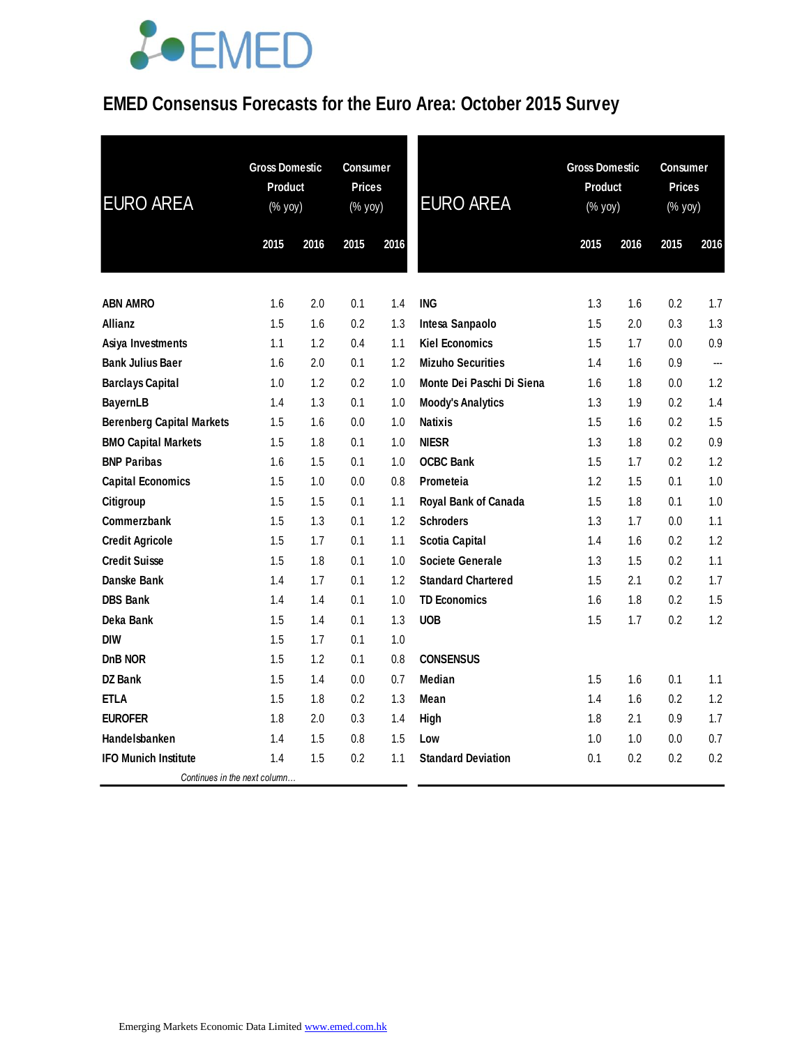### **EMED Consensus Forecasts for the Euro Area: October 2015 Survey**

| <b>EURO AREA</b>                 | <b>Gross Domestic</b><br>Product<br>(% yoy) |      | <b>Consumer</b><br><b>Prices</b><br>(% yoy) |      | <b>EURO AREA</b>          | <b>Gross Domestic</b><br><b>Product</b><br>(% yoy) |      | Consumer<br><b>Prices</b><br>(% yoy) |      |
|----------------------------------|---------------------------------------------|------|---------------------------------------------|------|---------------------------|----------------------------------------------------|------|--------------------------------------|------|
|                                  | 2015                                        | 2016 | 2015                                        | 2016 |                           | 2015                                               | 2016 | 2015                                 | 2016 |
| <b>ABN AMRO</b>                  | 1.6                                         | 2.0  | 0.1                                         | 1.4  | <b>ING</b>                | 1.3                                                | 1.6  | 0.2                                  | 1.7  |
| Allianz                          | 1.5                                         | 1.6  | 0.2                                         | 1.3  | Intesa Sanpaolo           | 1.5                                                | 2.0  | 0.3                                  | 1.3  |
| Asiya Investments                | 1.1                                         | 1.2  | 0.4                                         | 1.1  | <b>Kiel Economics</b>     | 1.5                                                | 1.7  | $0.0\,$                              | 0.9  |
| <b>Bank Julius Baer</b>          | 1.6                                         | 2.0  | 0.1                                         | 1.2  | <b>Mizuho Securities</b>  | 1.4                                                | 1.6  | 0.9                                  | ---  |
| <b>Barclays Capital</b>          | 1.0                                         | 1.2  | 0.2                                         | 1.0  | Monte Dei Paschi Di Siena | 1.6                                                | 1.8  | $0.0\,$                              | 1.2  |
| <b>BayernLB</b>                  | 1.4                                         | 1.3  | 0.1                                         | 1.0  | <b>Moody's Analytics</b>  | 1.3                                                | 1.9  | 0.2                                  | 1.4  |
| <b>Berenberg Capital Markets</b> | 1.5                                         | 1.6  | 0.0                                         | 1.0  | <b>Natixis</b>            | 1.5                                                | 1.6  | 0.2                                  | 1.5  |
| <b>BMO Capital Markets</b>       | 1.5                                         | 1.8  | 0.1                                         | 1.0  | <b>NIESR</b>              | 1.3                                                | 1.8  | 0.2                                  | 0.9  |
| <b>BNP Paribas</b>               | 1.6                                         | 1.5  | 0.1                                         | 1.0  | <b>OCBC Bank</b>          | 1.5                                                | 1.7  | 0.2                                  | 1.2  |
| <b>Capital Economics</b>         | 1.5                                         | 1.0  | 0.0                                         | 0.8  | <b>Prometeia</b>          | 1.2                                                | 1.5  | 0.1                                  | 1.0  |
| Citigroup                        | 1.5                                         | 1.5  | 0.1                                         | 1.1  | Royal Bank of Canada      | 1.5                                                | 1.8  | 0.1                                  | 1.0  |
| Commerzbank                      | 1.5                                         | 1.3  | 0.1                                         | 1.2  | <b>Schroders</b>          | 1.3                                                | 1.7  | 0.0                                  | 1.1  |
| <b>Credit Agricole</b>           | 1.5                                         | 1.7  | 0.1                                         | 1.1  | <b>Scotia Capital</b>     | 1.4                                                | 1.6  | $0.2\,$                              | 1.2  |
| <b>Credit Suisse</b>             | 1.5                                         | 1.8  | 0.1                                         | 1.0  | <b>Societe Generale</b>   | 1.3                                                | 1.5  | 0.2                                  | 1.1  |
| Danske Bank                      | 1.4                                         | 1.7  | 0.1                                         | 1.2  | <b>Standard Chartered</b> | 1.5                                                | 2.1  | 0.2                                  | 1.7  |
| <b>DBS Bank</b>                  | 1.4                                         | 1.4  | 0.1                                         | 1.0  | <b>TD Economics</b>       | 1.6                                                | 1.8  | 0.2                                  | 1.5  |
| Deka Bank                        | 1.5                                         | 1.4  | 0.1                                         | 1.3  | <b>UOB</b>                | 1.5                                                | 1.7  | 0.2                                  | 1.2  |
| <b>DIW</b>                       | 1.5                                         | 1.7  | 0.1                                         | 1.0  |                           |                                                    |      |                                      |      |
| DnB NOR                          | 1.5                                         | 1.2  | 0.1                                         | 0.8  | <b>CONSENSUS</b>          |                                                    |      |                                      |      |
| <b>DZ Bank</b>                   | 1.5                                         | 1.4  | 0.0                                         | 0.7  | Median                    | 1.5                                                | 1.6  | 0.1                                  | 1.1  |
| <b>ETLA</b>                      | 1.5                                         | 1.8  | 0.2                                         | 1.3  | Mean                      | 1.4                                                | 1.6  | 0.2                                  | 1.2  |
| <b>EUROFER</b>                   | 1.8                                         | 2.0  | 0.3                                         | 1.4  | High                      | 1.8                                                | 2.1  | 0.9                                  | 1.7  |
| Handelsbanken                    | 1.4                                         | 1.5  | 0.8                                         | 1.5  | Low                       | 1.0                                                | 1.0  | 0.0                                  | 0.7  |
| <b>IFO Munich Institute</b>      | 1.4                                         | 1.5  | 0.2                                         | 1.1  | <b>Standard Deviation</b> | 0.1                                                | 0.2  | 0.2                                  | 0.2  |
| Continues in the next column     |                                             |      |                                             |      |                           |                                                    |      |                                      |      |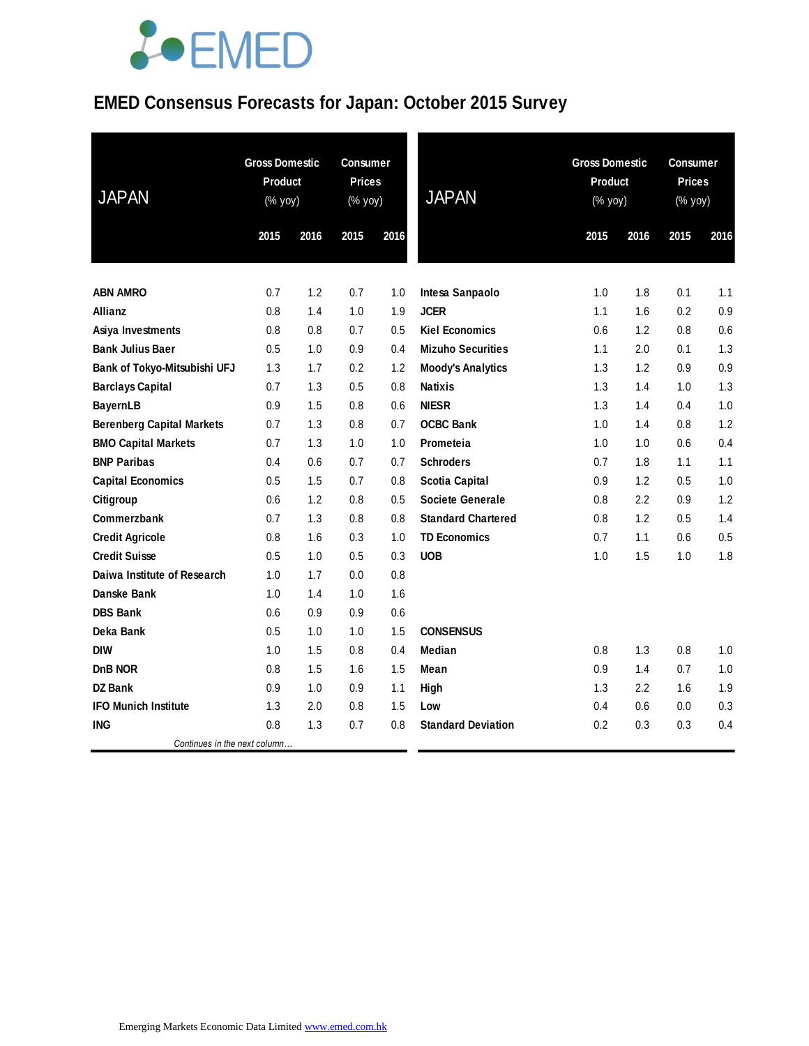### **EMED Consensus Forecasts for Japan: October 2015 Survey**

| <b>JAPAN</b>                     | <b>Gross Domestic</b><br><b>Product</b><br>$(% \mathsf{Y}\rightarrow \mathsf{Y})$ (% yoy) |      | <b>Consumer</b><br><b>Prices</b><br>(% yoy) |      | <b>JAPAN</b>              |      | <b>Gross Domestic</b><br><b>Product</b><br>(% yoy) |      | <b>Consumer</b><br><b>Prices</b><br>(% yoy) |  |
|----------------------------------|-------------------------------------------------------------------------------------------|------|---------------------------------------------|------|---------------------------|------|----------------------------------------------------|------|---------------------------------------------|--|
|                                  | 2015                                                                                      | 2016 | 2015                                        | 2016 |                           | 2015 | 2016                                               | 2015 | 2016                                        |  |
| <b>ABN AMRO</b>                  | 0.7                                                                                       | 1.2  | 0.7                                         | 1.0  | Intesa Sanpaolo           | 1.0  | 1.8                                                | 0.1  | 1.1                                         |  |
| Allianz                          | 0.8                                                                                       | 1.4  | 1.0                                         | 1.9  | <b>JCER</b>               | 1.1  | 1.6                                                | 0.2  | 0.9                                         |  |
| Asiya Investments                | 0.8                                                                                       | 0.8  | 0.7                                         | 0.5  | <b>Kiel Economics</b>     | 0.6  | 1.2                                                | 0.8  | 0.6                                         |  |
| <b>Bank Julius Baer</b>          | 0.5                                                                                       | 1.0  | 0.9                                         | 0.4  | <b>Mizuho Securities</b>  | 1.1  | 2.0                                                | 0.1  | 1.3                                         |  |
| Bank of Tokyo-Mitsubishi UFJ     | 1.3                                                                                       | 1.7  | 0.2                                         | 1.2  | <b>Moody's Analytics</b>  | 1.3  | 1.2                                                | 0.9  | 0.9                                         |  |
| <b>Barclays Capital</b>          | 0.7                                                                                       | 1.3  | 0.5                                         | 0.8  | <b>Natixis</b>            | 1.3  | 1.4                                                | 1.0  | 1.3                                         |  |
| <b>BayernLB</b>                  | 0.9                                                                                       | 1.5  | 0.8                                         | 0.6  | <b>NIESR</b>              | 1.3  | 1.4                                                | 0.4  | 1.0                                         |  |
| <b>Berenberg Capital Markets</b> | 0.7                                                                                       | 1.3  | 0.8                                         | 0.7  | <b>OCBC Bank</b>          | 1.0  | 1.4                                                | 0.8  | 1.2                                         |  |
| <b>BMO Capital Markets</b>       | 0.7                                                                                       | 1.3  | 1.0                                         | 1.0  | Prometeia                 | 1.0  | 1.0                                                | 0.6  | 0.4                                         |  |
| <b>BNP Paribas</b>               | 0.4                                                                                       | 0.6  | 0.7                                         | 0.7  | <b>Schroders</b>          | 0.7  | 1.8                                                | 1.1  | 1.1                                         |  |
| <b>Capital Economics</b>         | 0.5                                                                                       | 1.5  | 0.7                                         | 0.8  | <b>Scotia Capital</b>     | 0.9  | 1.2                                                | 0.5  | 1.0                                         |  |
| Citigroup                        | 0.6                                                                                       | 1.2  | 0.8                                         | 0.5  | <b>Societe Generale</b>   | 0.8  | 2.2                                                | 0.9  | 1.2                                         |  |
| Commerzbank                      | 0.7                                                                                       | 1.3  | 0.8                                         | 0.8  | <b>Standard Chartered</b> | 0.8  | 1.2                                                | 0.5  | 1.4                                         |  |
| <b>Credit Agricole</b>           | 0.8                                                                                       | 1.6  | 0.3                                         | 1.0  | <b>TD Economics</b>       | 0.7  | 1.1                                                | 0.6  | 0.5                                         |  |
| <b>Credit Suisse</b>             | 0.5                                                                                       | 1.0  | 0.5                                         | 0.3  | <b>UOB</b>                | 1.0  | 1.5                                                | 1.0  | 1.8                                         |  |
| Daiwa Institute of Research      | 1.0                                                                                       | 1.7  | 0.0                                         | 0.8  |                           |      |                                                    |      |                                             |  |
| Danske Bank                      | 1.0                                                                                       | 1.4  | 1.0                                         | 1.6  |                           |      |                                                    |      |                                             |  |
| <b>DBS Bank</b>                  | 0.6                                                                                       | 0.9  | 0.9                                         | 0.6  |                           |      |                                                    |      |                                             |  |
| Deka Bank                        | 0.5                                                                                       | 1.0  | 1.0                                         | 1.5  | <b>CONSENSUS</b>          |      |                                                    |      |                                             |  |
| <b>DIW</b>                       | 1.0                                                                                       | 1.5  | 0.8                                         | 0.4  | Median                    | 0.8  | 1.3                                                | 0.8  | 1.0                                         |  |
| <b>DnB NOR</b>                   | 0.8                                                                                       | 1.5  | 1.6                                         | 1.5  | Mean                      | 0.9  | 1.4                                                | 0.7  | 1.0                                         |  |
| <b>DZ Bank</b>                   | 0.9                                                                                       | 1.0  | 0.9                                         | 1.1  | High                      | 1.3  | 2.2                                                | 1.6  | 1.9                                         |  |
| <b>IFO Munich Institute</b>      | 1.3                                                                                       | 2.0  | 0.8                                         | 1.5  | Low                       | 0.4  | 0.6                                                | 0.0  | 0.3                                         |  |
| <b>ING</b>                       | 0.8                                                                                       | 1.3  | 0.7                                         | 0.8  | <b>Standard Deviation</b> | 0.2  | 0.3                                                | 0.3  | 0.4                                         |  |
| Continues in the next column     |                                                                                           |      |                                             |      |                           |      |                                                    |      |                                             |  |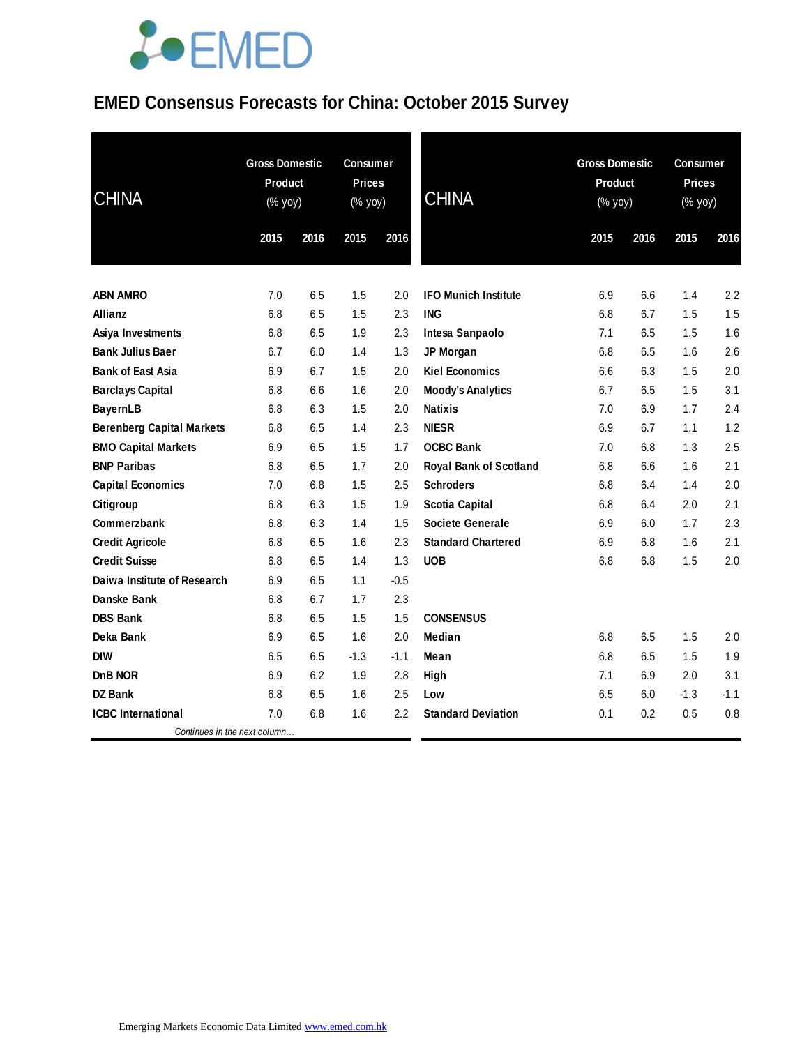### **EMED Consensus Forecasts for China: October 2015 Survey**

| <b>CHINA</b>                     | <b>Gross Domestic</b><br>Product<br>(% yoy) |      | <b>Consumer</b><br><b>Prices</b><br>(% yoy) |        | <b>CHINA</b>                  | <b>Gross Domestic</b><br>Product<br>(% yoy) |      | <b>Consumer</b><br><b>Prices</b><br>$(% \mathsf{Y}^{\prime }\mathsf{Y}^{\prime }\mathsf{Y}^{\prime })$ |        |
|----------------------------------|---------------------------------------------|------|---------------------------------------------|--------|-------------------------------|---------------------------------------------|------|--------------------------------------------------------------------------------------------------------|--------|
|                                  | 2015                                        | 2016 | 2015                                        | 2016   |                               | 2015                                        | 2016 | 2015                                                                                                   | 2016   |
| <b>ABN AMRO</b>                  | 7.0                                         | 6.5  | 1.5                                         | 2.0    | <b>IFO Munich Institute</b>   | 6.9                                         | 6.6  | 1.4                                                                                                    | 2.2    |
| Allianz                          | 6.8                                         | 6.5  | 1.5                                         | 2.3    | <b>ING</b>                    | 6.8                                         | 6.7  | 1.5                                                                                                    | 1.5    |
| Asiya Investments                | 6.8                                         | 6.5  | 1.9                                         | 2.3    | Intesa Sanpaolo               | 7.1                                         | 6.5  | 1.5                                                                                                    | 1.6    |
| <b>Bank Julius Baer</b>          | 6.7                                         | 6.0  | 1.4                                         | 1.3    | JP Morgan                     | 6.8                                         | 6.5  | 1.6                                                                                                    | 2.6    |
| <b>Bank of East Asia</b>         | 6.9                                         | 6.7  | 1.5                                         | 2.0    | <b>Kiel Economics</b>         | 6.6                                         | 6.3  | 1.5                                                                                                    | 2.0    |
| <b>Barclays Capital</b>          | 6.8                                         | 6.6  | 1.6                                         | 2.0    | <b>Moody's Analytics</b>      | 6.7                                         | 6.5  | 1.5                                                                                                    | 3.1    |
| <b>BayernLB</b>                  | 6.8                                         | 6.3  | 1.5                                         | 2.0    | <b>Natixis</b>                | 7.0                                         | 6.9  | 1.7                                                                                                    | 2.4    |
| <b>Berenberg Capital Markets</b> | 6.8                                         | 6.5  | 1.4                                         | 2.3    | <b>NIESR</b>                  | 6.9                                         | 6.7  | 1.1                                                                                                    | 1.2    |
| <b>BMO Capital Markets</b>       | 6.9                                         | 6.5  | 1.5                                         | 1.7    | <b>OCBC Bank</b>              | 7.0                                         | 6.8  | 1.3                                                                                                    | 2.5    |
| <b>BNP Paribas</b>               | 6.8                                         | 6.5  | 1.7                                         | 2.0    | <b>Royal Bank of Scotland</b> | 6.8                                         | 6.6  | 1.6                                                                                                    | 2.1    |
| <b>Capital Economics</b>         | 7.0                                         | 6.8  | 1.5                                         | 2.5    | <b>Schroders</b>              | 6.8                                         | 6.4  | 1.4                                                                                                    | 2.0    |
| Citigroup                        | 6.8                                         | 6.3  | 1.5                                         | 1.9    | <b>Scotia Capital</b>         | 6.8                                         | 6.4  | 2.0                                                                                                    | 2.1    |
| Commerzbank                      | 6.8                                         | 6.3  | 1.4                                         | 1.5    | <b>Societe Generale</b>       | 6.9                                         | 6.0  | 1.7                                                                                                    | 2.3    |
| <b>Credit Agricole</b>           | 6.8                                         | 6.5  | 1.6                                         | 2.3    | <b>Standard Chartered</b>     | 6.9                                         | 6.8  | 1.6                                                                                                    | 2.1    |
| <b>Credit Suisse</b>             | 6.8                                         | 6.5  | 1.4                                         | 1.3    | <b>UOB</b>                    | 6.8                                         | 6.8  | 1.5                                                                                                    | 2.0    |
| Daiwa Institute of Research      | 6.9                                         | 6.5  | 1.1                                         | $-0.5$ |                               |                                             |      |                                                                                                        |        |
| Danske Bank                      | 6.8                                         | 6.7  | 1.7                                         | 2.3    |                               |                                             |      |                                                                                                        |        |
| <b>DBS Bank</b>                  | 6.8                                         | 6.5  | 1.5                                         | 1.5    | <b>CONSENSUS</b>              |                                             |      |                                                                                                        |        |
| Deka Bank                        | 6.9                                         | 6.5  | 1.6                                         | 2.0    | <b>Median</b>                 | 6.8                                         | 6.5  | 1.5                                                                                                    | 2.0    |
| <b>DIW</b>                       | 6.5                                         | 6.5  | $-1.3$                                      | $-1.1$ | Mean                          | 6.8                                         | 6.5  | 1.5                                                                                                    | 1.9    |
| <b>DnB NOR</b>                   | 6.9                                         | 6.2  | 1.9                                         | 2.8    | High                          | 7.1                                         | 6.9  | 2.0                                                                                                    | 3.1    |
| <b>DZ Bank</b>                   | 6.8                                         | 6.5  | 1.6                                         | 2.5    | Low                           | 6.5                                         | 6.0  | $-1.3$                                                                                                 | $-1.1$ |
| <b>ICBC</b> International        | 7.0                                         | 6.8  | 1.6                                         | 2.2    | <b>Standard Deviation</b>     | 0.1                                         | 0.2  | 0.5                                                                                                    | 0.8    |
| Continues in the next column     |                                             |      |                                             |        |                               |                                             |      |                                                                                                        |        |